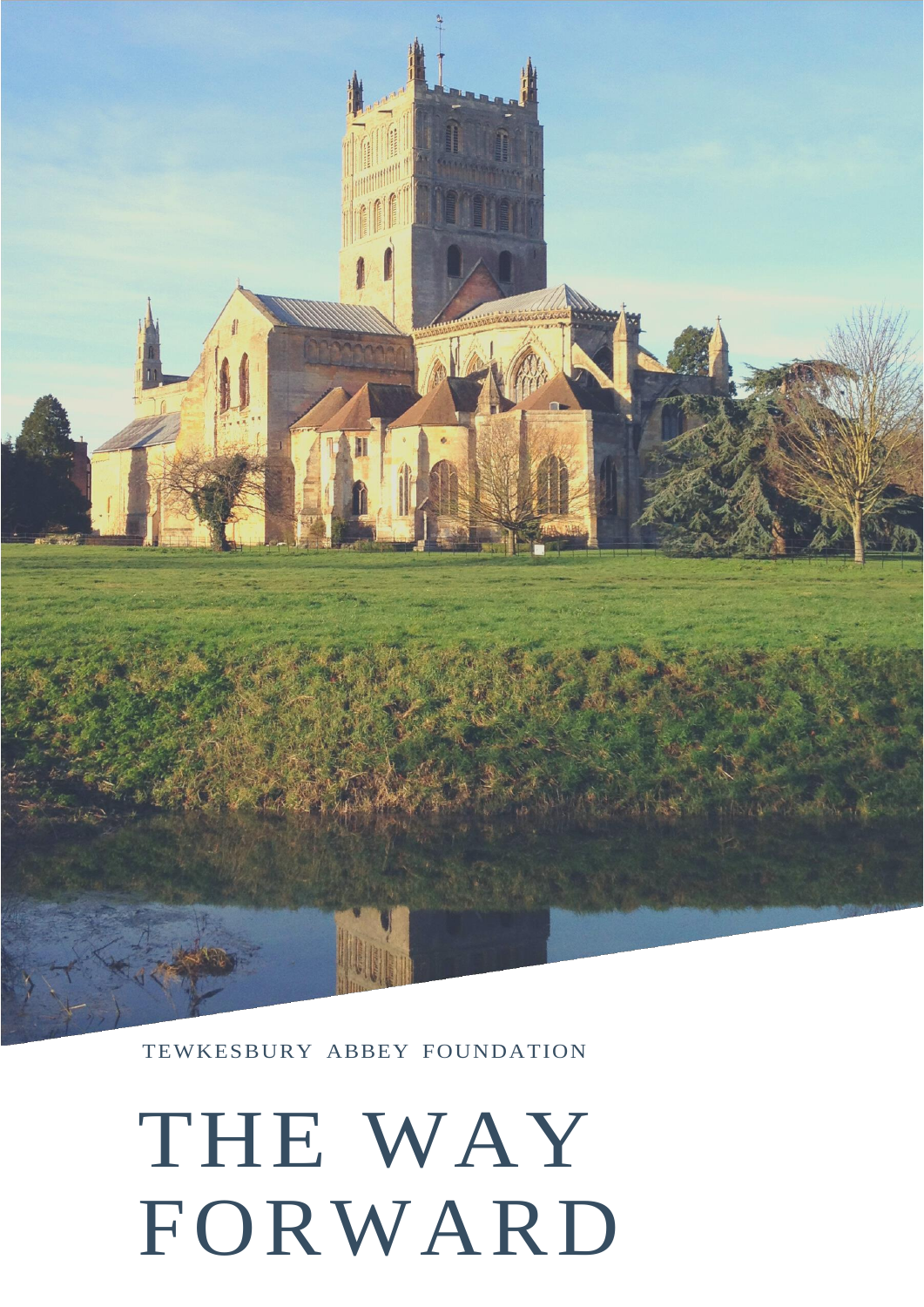# THE WAY FORWARD

TEWKESBURY ABBEY FOUNDATION

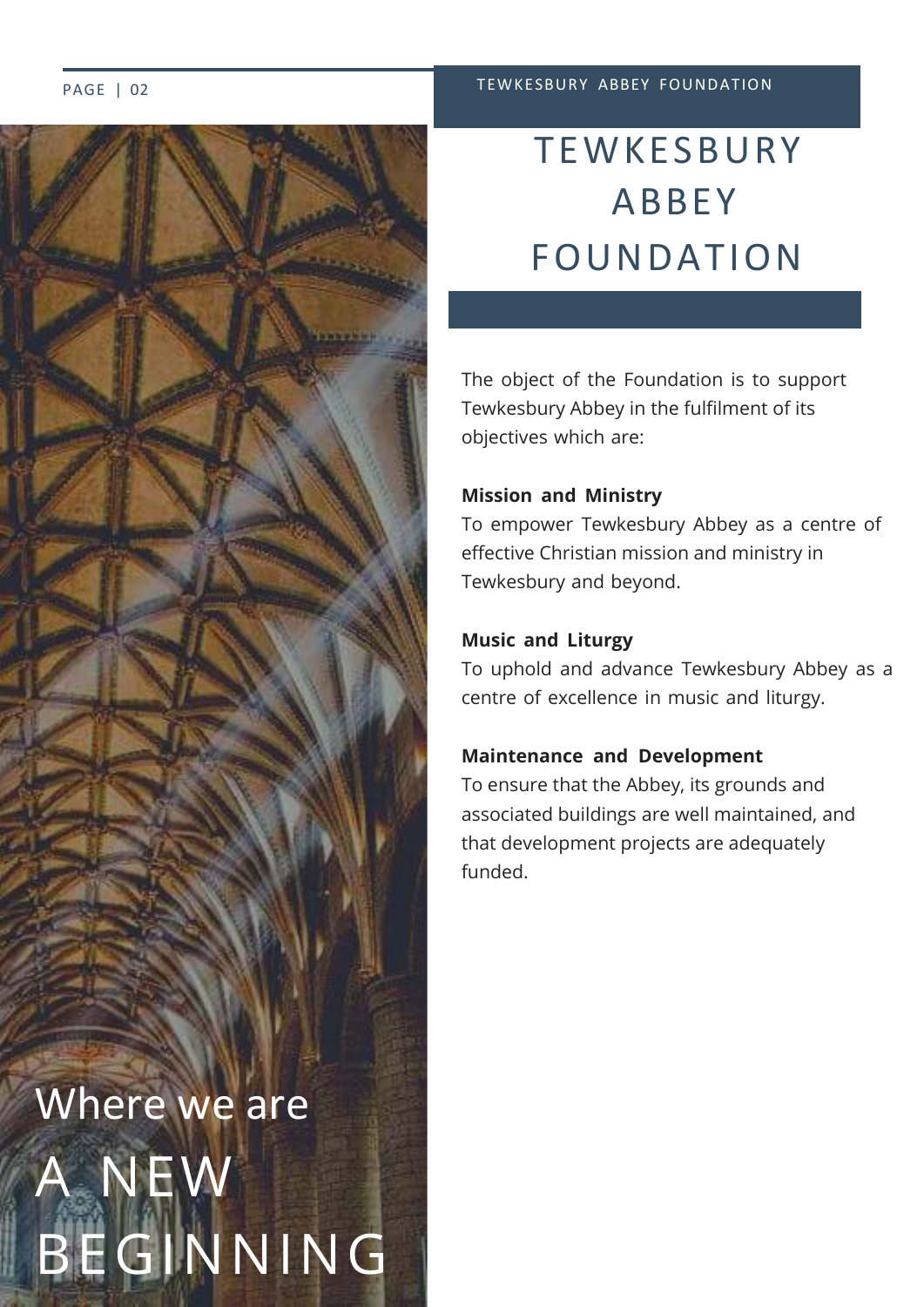

### **TEWKESBURY** ABBEY FOUNDATION

The object of the Foundation is to support Tewkesbury Abbey in the fulfilment of its objectives which are:

### **Mission and Ministry**

To empower Tewkesbury Abbey as a centre of effective Christian mission and ministry in Tewkesbury and beyond.

### **Music and Liturgy**

To uphold and advance Tewkesbury Abbey as a centre of excellence in music and liturgy.

### **Maintenance and Development**

To ensure that the Abbey, its grounds and associated buildings are well maintained, and that development projects are adequately funded.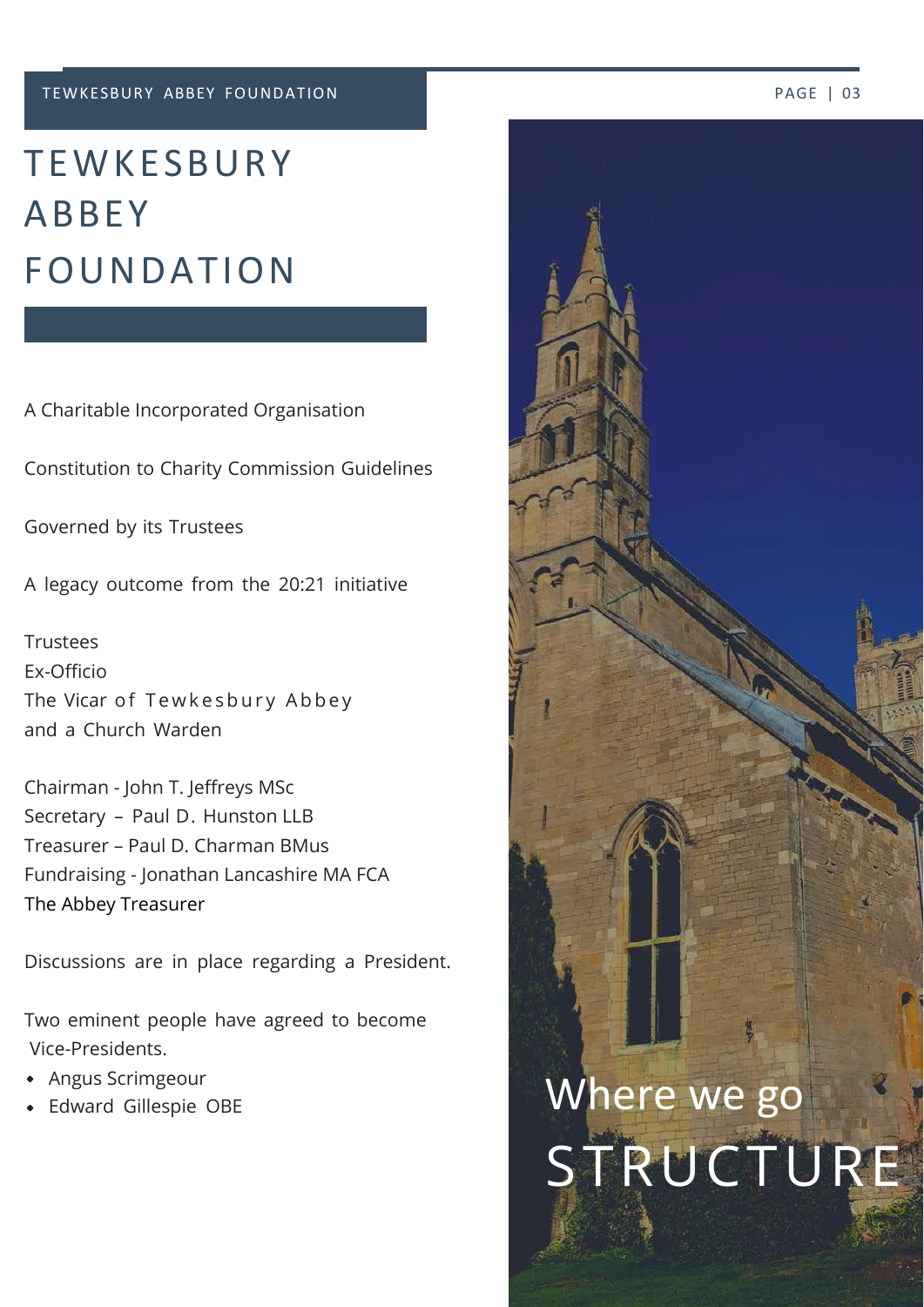### **TEWKESBURY** ABBEY FOUNDATION

A Charitable Incorporated Organisation

Constitution to Charity Commission Guidelines

Governed by its Trustees

A legacy outcome from the 20:21 initiative

**Trustees** Ex-Officio The Vicar of Tewkesbury Abbey and a Church Warden

Chairman - John T. Jeffreys MSc Secretary – Paul D. Hunston LLB Treasurer – Paul D. Charman BMus Fundraising - Jonathan Lancashire MA FCA The Abbey Treasurer

Discussions are in place regarding a President.

Two eminent people have agreed to become Vice-Presidents.

- Angus Scrimgeour
- 

## • Angus Scrimgeour<br>• Edward Gillespie OBE Where We go STRUCTURE

#### PAGE | 03